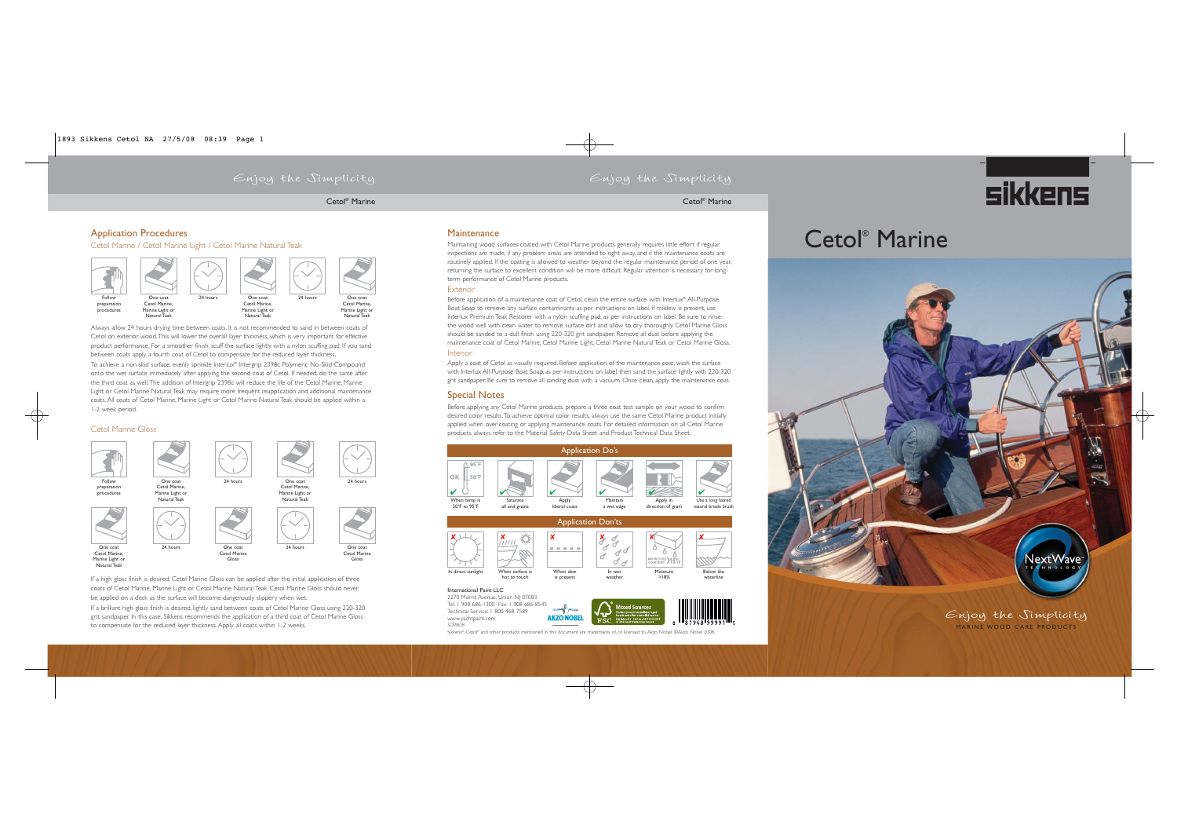### Enjoy the Simplicity

Cetol® Marine

Cetol® Marine

# sikkens

#### Application Procedures Cetol Marine / Cetol Marine Light / Cetol Marine Natural Teak



Always allow 24 hours drying time between coats. It is not recommended to sand in between coats of Cetol on exterior wood.This will lower the overall layer thickness, which is very important for effective product performance. For a smoother finish, scuff the surface lightly with a nylon scuffing pad. If you sand between coats apply a fourth coat of Cetol to compensate for the reduced layer thickness.

To achieve a non-skid surface, evenly sprinkle Interlux® Intergrip 2398c Polymeric No-Skid Compound onto the wet surface immediately after applying the second coat of Cetol. If needed, do the same after the third coat as well.The addition of Intergrip 2398c will reduce the life of the Cetol Marine, Marine Light or Cetol Marine Natural Teak may require more frequent reapplication and additional maintenance coats. All coats of Cetol Marine, Marine Light or Cetol Marine Natural Teak should be applied within a 1-2 week period.

#### Cetol Marine Gloss



If a high gloss finish is desired, Cetol Marine Gloss can be applied after the initial application of three coats of Cetol Marine, Marine Light or Cetol Marine Natural Teak. Cetol Marine Gloss should never be applied on a deck as the surface will become dangerously slippery when wet.

If a brilliant high gloss finish is desired, lightly sand between coats of Cetol Marine Gloss using 220-320 grit sandpaper. In this case, Sikkens recommends the application of a third coat of Cetol Marine Gloss to compensate for the reduced layer thickness. Apply all coats within 1-2 weeks.

#### **Maintenance**

Maintaining wood surfaces coated with Cetol Marine products generally requires little effort if regular inspections are made, if any problem areas are attended to right away, and if the maintenance coats are routinely applied. If the coating is allowed to weather beyond the regular maintenance period of one year, returning the surface to excellent condition will be more difficult. Regular attention is necessary for longterm performance of Cetol Marine products.

#### Exterior

Before application of a maintenance coat of Cetol, clean the entire surface with Interlux® All-Purpose Boat Soap to remove any surface contaminants as per instructions on label. If mildew is present, use Interlux Premium Teak Restorer with a nylon scuffing pad, as per instructions on label. Be sure to rinse the wood well with clean water to remove surface dirt and allow to dry thoroughly. Cetol Marine Gloss should be sanded to a dull finish using 220-320 grit sandpaper. Remove all dust before applying the maintenance coat of Cetol Marine, Cetol Marine Light, Cetol Marine Natural Teak or Cetol Marine Gloss.

#### Interior

Apply a coat of Cetol as visually required. Before application of the maintenance coat, wash the surface with Interlux All-Purpose Boat Soap, as per instructions on label, then sand the surface lightly with 220-320 grit sandpaper. Be sure to remove all sanding dust with a vacuum. Once clean, apply the maintenance coat.

#### Special Notes

Before applying any Cetol Marine products, prepare a three coat test sample on your wood to confirm desired color results.To achieve optimal color results, always use the same Cetol Marine product initially applied when over-coating or applying maintenance coats. For detailed information on all Cetol Marine products, always refer to the Material Safety Data Sheet and Product Technical Data Sheet.



2270 Morris Avenue, Union NJ 07083 Tel: 1 908 686-1300 Fax: 1 908 686-8545 Technical Service: 1 800 468-7589 **AKZO NOBEI** www.yachtpaint.com *SCMB08*



Sikkens®, Cetol® and other products mentioned in this document are trademarks of, or licensed to, Akzo Nobel. ©Akzo Nobel 2008.

## Cetol® Marine



MARINE WOOD C ARE PRODUCTS